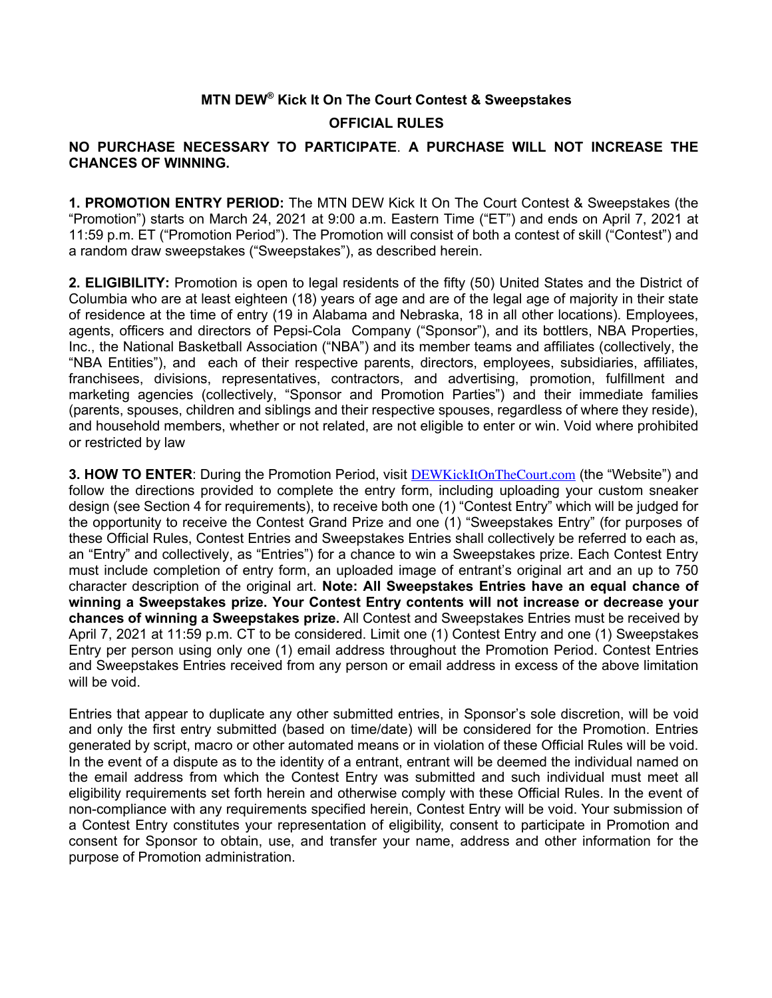## **MTN DEW® Kick It On The Court Contest & Sweepstakes**

## **OFFICIAL RULES**

## **NO PURCHASE NECESSARY TO PARTICIPATE**. **A PURCHASE WILL NOT INCREASE THE CHANCES OF WINNING.**

**1. PROMOTION ENTRY PERIOD:** The MTN DEW Kick It On The Court Contest & Sweepstakes (the "Promotion") starts on March 24, 2021 at 9:00 a.m. Eastern Time ("ET") and ends on April 7, 2021 at 11:59 p.m. ET ("Promotion Period"). The Promotion will consist of both a contest of skill ("Contest") and a random draw sweepstakes ("Sweepstakes"), as described herein.

**2. ELIGIBILITY:** Promotion is open to legal residents of the fifty (50) United States and the District of Columbia who are at least eighteen (18) years of age and are of the legal age of majority in their state of residence at the time of entry (19 in Alabama and Nebraska, 18 in all other locations). Employees, agents, officers and directors of Pepsi-Cola Company ("Sponsor"), and its bottlers, NBA Properties, Inc., the National Basketball Association ("NBA") and its member teams and affiliates (collectively, the "NBA Entities"), and each of their respective parents, directors, employees, subsidiaries, affiliates, franchisees, divisions, representatives, contractors, and advertising, promotion, fulfillment and marketing agencies (collectively, "Sponsor and Promotion Parties") and their immediate families (parents, spouses, children and siblings and their respective spouses, regardless of where they reside), and household members, whether or not related, are not eligible to enter or win. Void where prohibited or restricted by law

**3. HOW TO ENTER**: During the Promotion Period, visit DEWKickItOnTheCourt.com (the "Website") and follow the directions provided to complete the entry form, including uploading your custom sneaker design (see Section 4 for requirements), to receive both one (1) "Contest Entry" which will be judged for the opportunity to receive the Contest Grand Prize and one (1) "Sweepstakes Entry" (for purposes of these Official Rules, Contest Entries and Sweepstakes Entries shall collectively be referred to each as, an "Entry" and collectively, as "Entries") for a chance to win a Sweepstakes prize. Each Contest Entry must include completion of entry form, an uploaded image of entrant's original art and an up to 750 character description of the original art. **Note: All Sweepstakes Entries have an equal chance of winning a Sweepstakes prize. Your Contest Entry contents will not increase or decrease your chances of winning a Sweepstakes prize.** All Contest and Sweepstakes Entries must be received by April 7, 2021 at 11:59 p.m. CT to be considered. Limit one (1) Contest Entry and one (1) Sweepstakes Entry per person using only one (1) email address throughout the Promotion Period. Contest Entries and Sweepstakes Entries received from any person or email address in excess of the above limitation will be void.

Entries that appear to duplicate any other submitted entries, in Sponsor's sole discretion, will be void and only the first entry submitted (based on time/date) will be considered for the Promotion. Entries generated by script, macro or other automated means or in violation of these Official Rules will be void. In the event of a dispute as to the identity of a entrant, entrant will be deemed the individual named on the email address from which the Contest Entry was submitted and such individual must meet all eligibility requirements set forth herein and otherwise comply with these Official Rules. In the event of non-compliance with any requirements specified herein, Contest Entry will be void. Your submission of a Contest Entry constitutes your representation of eligibility, consent to participate in Promotion and consent for Sponsor to obtain, use, and transfer your name, address and other information for the purpose of Promotion administration.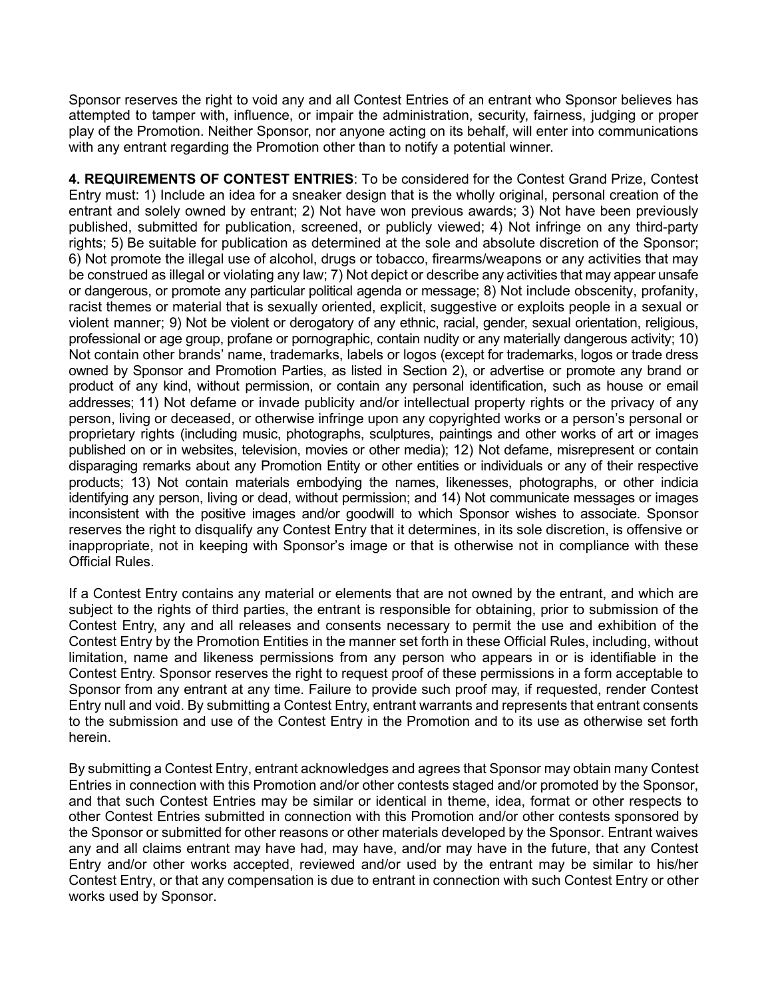Sponsor reserves the right to void any and all Contest Entries of an entrant who Sponsor believes has attempted to tamper with, influence, or impair the administration, security, fairness, judging or proper play of the Promotion. Neither Sponsor, nor anyone acting on its behalf, will enter into communications with any entrant regarding the Promotion other than to notify a potential winner.

**4. REQUIREMENTS OF CONTEST ENTRIES**: To be considered for the Contest Grand Prize, Contest Entry must: 1) Include an idea for a sneaker design that is the wholly original, personal creation of the entrant and solely owned by entrant; 2) Not have won previous awards; 3) Not have been previously published, submitted for publication, screened, or publicly viewed; 4) Not infringe on any third-party rights; 5) Be suitable for publication as determined at the sole and absolute discretion of the Sponsor; 6) Not promote the illegal use of alcohol, drugs or tobacco, firearms/weapons or any activities that may be construed as illegal or violating any law; 7) Not depict or describe any activities that may appear unsafe or dangerous, or promote any particular political agenda or message; 8) Not include obscenity, profanity, racist themes or material that is sexually oriented, explicit, suggestive or exploits people in a sexual or violent manner; 9) Not be violent or derogatory of any ethnic, racial, gender, sexual orientation, religious, professional or age group, profane or pornographic, contain nudity or any materially dangerous activity; 10) Not contain other brands' name, trademarks, labels or logos (except for trademarks, logos or trade dress owned by Sponsor and Promotion Parties, as listed in Section 2), or advertise or promote any brand or product of any kind, without permission, or contain any personal identification, such as house or email addresses; 11) Not defame or invade publicity and/or intellectual property rights or the privacy of any person, living or deceased, or otherwise infringe upon any copyrighted works or a person's personal or proprietary rights (including music, photographs, sculptures, paintings and other works of art or images published on or in websites, television, movies or other media); 12) Not defame, misrepresent or contain disparaging remarks about any Promotion Entity or other entities or individuals or any of their respective products; 13) Not contain materials embodying the names, likenesses, photographs, or other indicia identifying any person, living or dead, without permission; and 14) Not communicate messages or images inconsistent with the positive images and/or goodwill to which Sponsor wishes to associate. Sponsor reserves the right to disqualify any Contest Entry that it determines, in its sole discretion, is offensive or inappropriate, not in keeping with Sponsor's image or that is otherwise not in compliance with these Official Rules.

If a Contest Entry contains any material or elements that are not owned by the entrant, and which are subject to the rights of third parties, the entrant is responsible for obtaining, prior to submission of the Contest Entry, any and all releases and consents necessary to permit the use and exhibition of the Contest Entry by the Promotion Entities in the manner set forth in these Official Rules, including, without limitation, name and likeness permissions from any person who appears in or is identifiable in the Contest Entry. Sponsor reserves the right to request proof of these permissions in a form acceptable to Sponsor from any entrant at any time. Failure to provide such proof may, if requested, render Contest Entry null and void. By submitting a Contest Entry, entrant warrants and represents that entrant consents to the submission and use of the Contest Entry in the Promotion and to its use as otherwise set forth herein.

By submitting a Contest Entry, entrant acknowledges and agrees that Sponsor may obtain many Contest Entries in connection with this Promotion and/or other contests staged and/or promoted by the Sponsor, and that such Contest Entries may be similar or identical in theme, idea, format or other respects to other Contest Entries submitted in connection with this Promotion and/or other contests sponsored by the Sponsor or submitted for other reasons or other materials developed by the Sponsor. Entrant waives any and all claims entrant may have had, may have, and/or may have in the future, that any Contest Entry and/or other works accepted, reviewed and/or used by the entrant may be similar to his/her Contest Entry, or that any compensation is due to entrant in connection with such Contest Entry or other works used by Sponsor.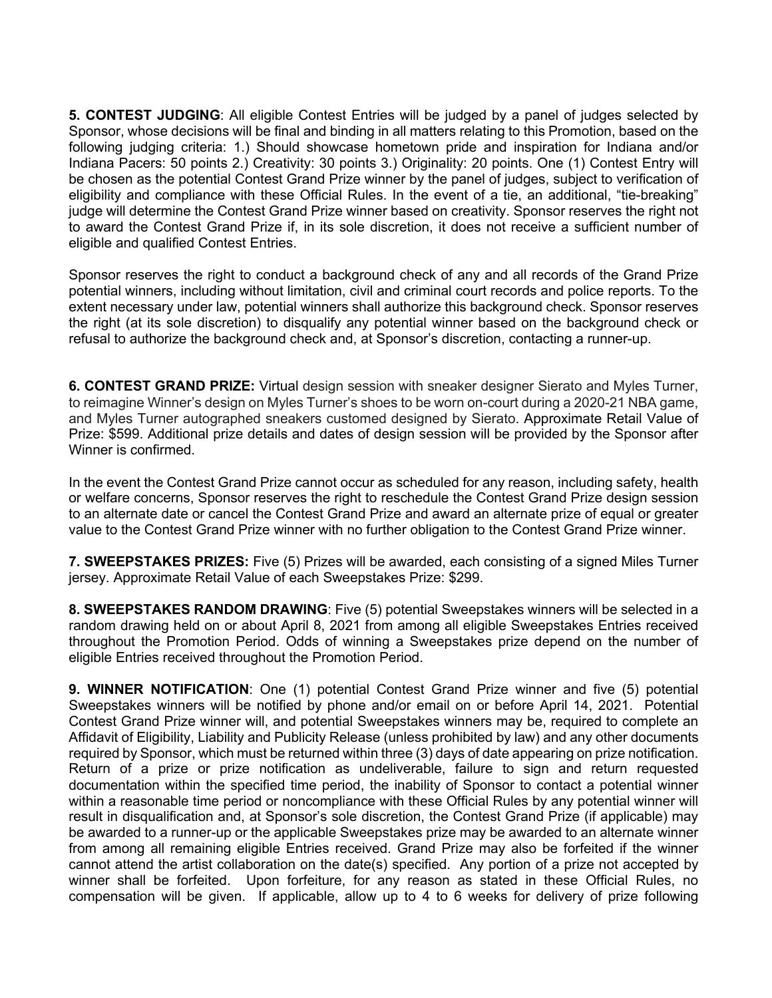**5. CONTEST JUDGING**: All eligible Contest Entries will be judged by a panel of judges selected by Sponsor, whose decisions will be final and binding in all matters relating to this Promotion, based on the following judging criteria: 1.) Should showcase hometown pride and inspiration for Indiana and/or Indiana Pacers: 50 points 2.) Creativity: 30 points 3.) Originality: 20 points. One (1) Contest Entry will be chosen as the potential Contest Grand Prize winner by the panel of judges, subject to verification of eligibility and compliance with these Official Rules. In the event of a tie, an additional, "tie-breaking" judge will determine the Contest Grand Prize winner based on creativity. Sponsor reserves the right not to award the Contest Grand Prize if, in its sole discretion, it does not receive a sufficient number of eligible and qualified Contest Entries.

Sponsor reserves the right to conduct a background check of any and all records of the Grand Prize potential winners, including without limitation, civil and criminal court records and police reports. To the extent necessary under law, potential winners shall authorize this background check. Sponsor reserves the right (at its sole discretion) to disqualify any potential winner based on the background check or refusal to authorize the background check and, at Sponsor's discretion, contacting a runner-up.

**6. CONTEST GRAND PRIZE:** Virtual design session with sneaker designer Sierato and Myles Turner, to reimagine Winner's design on Myles Turner's shoes to be worn on-court during a 2020-21 NBA game, and Myles Turner autographed sneakers customed designed by Sierato. Approximate Retail Value of Prize: \$599. Additional prize details and dates of design session will be provided by the Sponsor after Winner is confirmed.

In the event the Contest Grand Prize cannot occur as scheduled for any reason, including safety, health or welfare concerns, Sponsor reserves the right to reschedule the Contest Grand Prize design session to an alternate date or cancel the Contest Grand Prize and award an alternate prize of equal or greater value to the Contest Grand Prize winner with no further obligation to the Contest Grand Prize winner.

**7. SWEEPSTAKES PRIZES:** Five (5) Prizes will be awarded, each consisting of a signed Miles Turner jersey. Approximate Retail Value of each Sweepstakes Prize: \$299.

**8. SWEEPSTAKES RANDOM DRAWING**: Five (5) potential Sweepstakes winners will be selected in a random drawing held on or about April 8, 2021 from among all eligible Sweepstakes Entries received throughout the Promotion Period. Odds of winning a Sweepstakes prize depend on the number of eligible Entries received throughout the Promotion Period.

**9. WINNER NOTIFICATION**: One (1) potential Contest Grand Prize winner and five (5) potential Sweepstakes winners will be notified by phone and/or email on or before April 14, 2021. Potential Contest Grand Prize winner will, and potential Sweepstakes winners may be, required to complete an Affidavit of Eligibility, Liability and Publicity Release (unless prohibited by law) and any other documents required by Sponsor, which must be returned within three (3) days of date appearing on prize notification. Return of a prize or prize notification as undeliverable, failure to sign and return requested documentation within the specified time period, the inability of Sponsor to contact a potential winner within a reasonable time period or noncompliance with these Official Rules by any potential winner will result in disqualification and, at Sponsor's sole discretion, the Contest Grand Prize (if applicable) may be awarded to a runner-up or the applicable Sweepstakes prize may be awarded to an alternate winner from among all remaining eligible Entries received. Grand Prize may also be forfeited if the winner cannot attend the artist collaboration on the date(s) specified. Any portion of a prize not accepted by winner shall be forfeited. Upon forfeiture, for any reason as stated in these Official Rules, no compensation will be given. If applicable, allow up to 4 to 6 weeks for delivery of prize following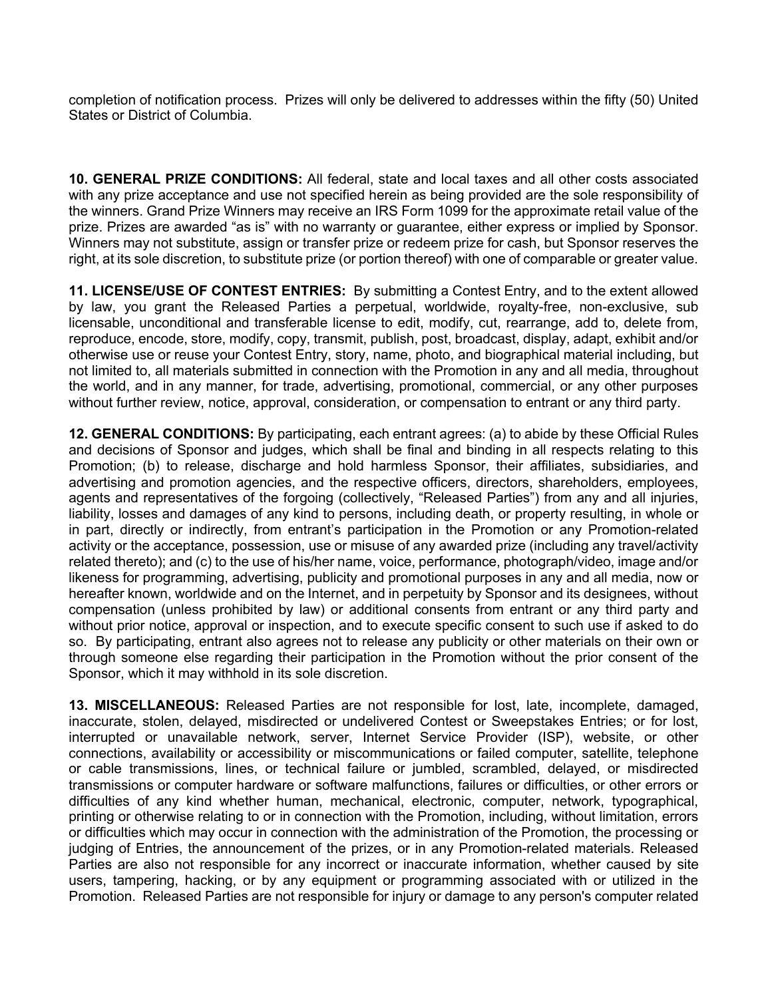completion of notification process. Prizes will only be delivered to addresses within the fifty (50) United States or District of Columbia.

**10. GENERAL PRIZE CONDITIONS:** All federal, state and local taxes and all other costs associated with any prize acceptance and use not specified herein as being provided are the sole responsibility of the winners. Grand Prize Winners may receive an IRS Form 1099 for the approximate retail value of the prize. Prizes are awarded "as is" with no warranty or guarantee, either express or implied by Sponsor. Winners may not substitute, assign or transfer prize or redeem prize for cash, but Sponsor reserves the right, at its sole discretion, to substitute prize (or portion thereof) with one of comparable or greater value.

**11. LICENSE/USE OF CONTEST ENTRIES:** By submitting a Contest Entry, and to the extent allowed by law, you grant the Released Parties a perpetual, worldwide, royalty-free, non-exclusive, sub licensable, unconditional and transferable license to edit, modify, cut, rearrange, add to, delete from, reproduce, encode, store, modify, copy, transmit, publish, post, broadcast, display, adapt, exhibit and/or otherwise use or reuse your Contest Entry, story, name, photo, and biographical material including, but not limited to, all materials submitted in connection with the Promotion in any and all media, throughout the world, and in any manner, for trade, advertising, promotional, commercial, or any other purposes without further review, notice, approval, consideration, or compensation to entrant or any third party.

**12. GENERAL CONDITIONS:** By participating, each entrant agrees: (a) to abide by these Official Rules and decisions of Sponsor and judges, which shall be final and binding in all respects relating to this Promotion; (b) to release, discharge and hold harmless Sponsor, their affiliates, subsidiaries, and advertising and promotion agencies, and the respective officers, directors, shareholders, employees, agents and representatives of the forgoing (collectively, "Released Parties") from any and all injuries, liability, losses and damages of any kind to persons, including death, or property resulting, in whole or in part, directly or indirectly, from entrant's participation in the Promotion or any Promotion-related activity or the acceptance, possession, use or misuse of any awarded prize (including any travel/activity related thereto); and (c) to the use of his/her name, voice, performance, photograph/video, image and/or likeness for programming, advertising, publicity and promotional purposes in any and all media, now or hereafter known, worldwide and on the Internet, and in perpetuity by Sponsor and its designees, without compensation (unless prohibited by law) or additional consents from entrant or any third party and without prior notice, approval or inspection, and to execute specific consent to such use if asked to do so. By participating, entrant also agrees not to release any publicity or other materials on their own or through someone else regarding their participation in the Promotion without the prior consent of the Sponsor, which it may withhold in its sole discretion.

**13. MISCELLANEOUS:** Released Parties are not responsible for lost, late, incomplete, damaged, inaccurate, stolen, delayed, misdirected or undelivered Contest or Sweepstakes Entries; or for lost, interrupted or unavailable network, server, Internet Service Provider (ISP), website, or other connections, availability or accessibility or miscommunications or failed computer, satellite, telephone or cable transmissions, lines, or technical failure or jumbled, scrambled, delayed, or misdirected transmissions or computer hardware or software malfunctions, failures or difficulties, or other errors or difficulties of any kind whether human, mechanical, electronic, computer, network, typographical, printing or otherwise relating to or in connection with the Promotion, including, without limitation, errors or difficulties which may occur in connection with the administration of the Promotion, the processing or judging of Entries, the announcement of the prizes, or in any Promotion-related materials. Released Parties are also not responsible for any incorrect or inaccurate information, whether caused by site users, tampering, hacking, or by any equipment or programming associated with or utilized in the Promotion. Released Parties are not responsible for injury or damage to any person's computer related